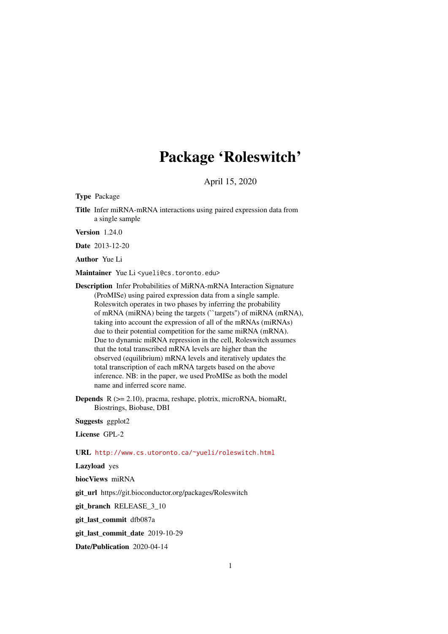## Package 'Roleswitch'

April 15, 2020

<span id="page-0-0"></span>Type Package

Title Infer miRNA-mRNA interactions using paired expression data from a single sample

Version 1.24.0

Date 2013-12-20

Author Yue Li

Maintainer Yue Li<yueli@cs.toronto.edu>

Description Infer Probabilities of MiRNA-mRNA Interaction Signature (ProMISe) using paired expression data from a single sample. Roleswitch operates in two phases by inferring the probability of mRNA (miRNA) being the targets (``targets'') of miRNA (mRNA), taking into account the expression of all of the mRNAs (miRNAs) due to their potential competition for the same miRNA (mRNA). Due to dynamic miRNA repression in the cell, Roleswitch assumes that the total transcribed mRNA levels are higher than the observed (equilibrium) mRNA levels and iteratively updates the total transcription of each mRNA targets based on the above inference. NB: in the paper, we used ProMISe as both the model name and inferred score name.

Depends R (>= 2.10), pracma, reshape, plotrix, microRNA, biomaRt, Biostrings, Biobase, DBI

Suggests ggplot2

License GPL-2

URL <http://www.cs.utoronto.ca/~yueli/roleswitch.html>

Lazyload yes

biocViews miRNA

git\_url https://git.bioconductor.org/packages/Roleswitch

git\_branch RELEASE\_3\_10

git\_last\_commit dfb087a

git\_last\_commit\_date 2019-10-29

Date/Publication 2020-04-14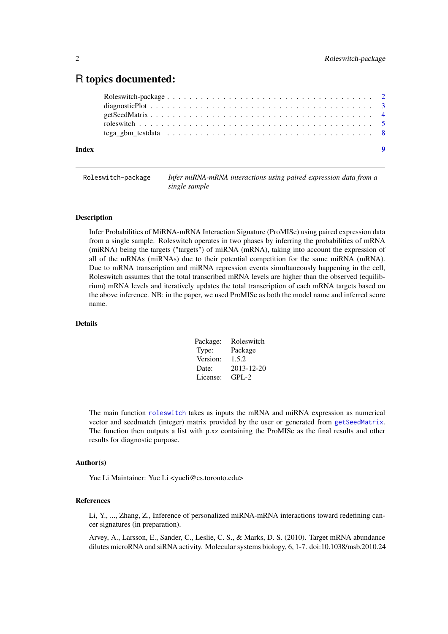### <span id="page-1-0"></span>R topics documented:

| Index |  |  |
|-------|--|--|

Roleswitch-package *Infer miRNA-mRNA interactions using paired expression data from a single sample*

#### Description

Infer Probabilities of MiRNA-mRNA Interaction Signature (ProMISe) using paired expression data from a single sample. Roleswitch operates in two phases by inferring the probabilities of mRNA (miRNA) being the targets ("targets") of miRNA (mRNA), taking into account the expression of all of the mRNAs (miRNAs) due to their potential competition for the same miRNA (mRNA). Due to mRNA transcription and miRNA repression events simultaneously happening in the cell, Roleswitch assumes that the total transcribed mRNA levels are higher than the observed (equilibrium) mRNA levels and iteratively updates the total transcription of each mRNA targets based on the above inference. NB: in the paper, we used ProMISe as both the model name and inferred score name.

#### Details

| Package: | Roleswitch |
|----------|------------|
| Type:    | Package    |
| Version: | 1.5.2      |
| Date:    | 2013-12-20 |
| License: | $GPI - 2$  |

The main function [roleswitch](#page-4-1) takes as inputs the mRNA and miRNA expression as numerical vector and seedmatch (integer) matrix provided by the user or generated from [getSeedMatrix](#page-3-1). The function then outputs a list with p.xz containing the ProMISe as the final results and other results for diagnostic purpose.

#### Author(s)

Yue Li Maintainer: Yue Li <yueli@cs.toronto.edu>

#### References

Li, Y., ..., Zhang, Z., Inference of personalized miRNA-mRNA interactions toward redefining cancer signatures (in preparation).

Arvey, A., Larsson, E., Sander, C., Leslie, C. S., & Marks, D. S. (2010). Target mRNA abundance dilutes microRNA and siRNA activity. Molecular systems biology, 6, 1-7. doi:10.1038/msb.2010.24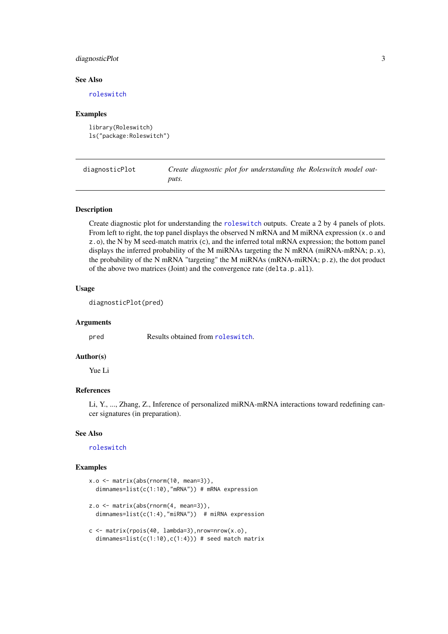#### <span id="page-2-0"></span>diagnosticPlot 3

#### See Also

[roleswitch](#page-4-1)

#### Examples

```
library(Roleswitch)
ls("package:Roleswitch")
```
diagnosticPlot *Create diagnostic plot for understanding the Roleswitch model outputs.*

#### Description

Create diagnostic plot for understanding the [roleswitch](#page-4-1) outputs. Create a 2 by 4 panels of plots. From left to right, the top panel displays the observed N mRNA and M miRNA expression  $(x, o)$  and z.o), the N by M seed-match matrix (c), and the inferred total mRNA expression; the bottom panel displays the inferred probability of the M miRNAs targeting the N mRNA (miRNA-mRNA; p.x), the probability of the N mRNA "targeting" the M miRNAs (mRNA-miRNA; p.z), the dot product of the above two matrices (Joint) and the convergence rate (delta.p.all).

#### Usage

```
diagnosticPlot(pred)
```
#### Arguments

pred Results obtained from [roleswitch](#page-4-1).

#### Author(s)

Yue Li

#### References

Li, Y., ..., Zhang, Z., Inference of personalized miRNA-mRNA interactions toward redefining cancer signatures (in preparation).

#### See Also

[roleswitch](#page-4-1)

#### Examples

```
x.o <- matrix(abs(rnorm(10, mean=3)),
  dimnames=list(c(1:10),"mRNA")) # mRNA expression
z.o <- matrix(abs(rnorm(4, mean=3)),
  dimnames=list(c(1:4),"miRNA")) # miRNA expression
c \leq - matrix(rpois(40, lambda=3),nrow=nrow(x.o),
  dimnames=list(c(1:10),c(1:4))) # seed match matrix
```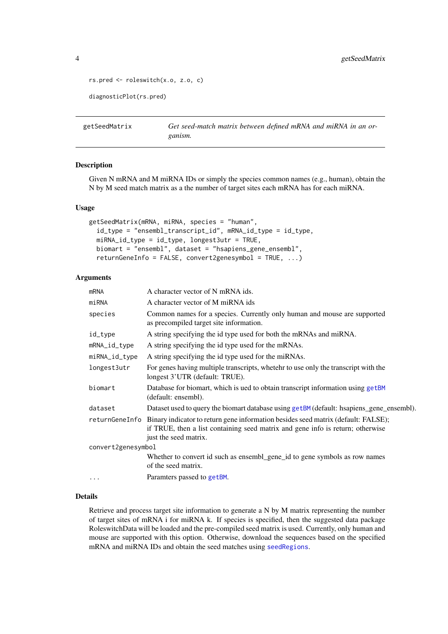```
4 getSeedMatrix
```

```
rs.pred <- roleswitch(x.o, z.o, c)
```
diagnosticPlot(rs.pred)

<span id="page-3-1"></span>getSeedMatrix *Get seed-match matrix between defined mRNA and miRNA in an organism.*

#### Description

Given N mRNA and M miRNA IDs or simply the species common names (e.g., human), obtain the N by M seed match matrix as a the number of target sites each mRNA has for each miRNA.

#### Usage

```
getSeedMatrix(mRNA, miRNA, species = "human",
  id_type = "ensembl_transcript_id", mRNA_id_type = id_type,
 miRNA_id_type = id_type, longest3utr = TRUE,
 biomart = "ensembl", dataset = "hsapiens_gene_ensembl",
  returnGeneInfo = FALSE, convert2genesymbol = TRUE, ...)
```
#### Arguments

| <b>mRNA</b>        | A character vector of N mRNA ids.                                                                                                                                                                           |
|--------------------|-------------------------------------------------------------------------------------------------------------------------------------------------------------------------------------------------------------|
| miRNA              | A character vector of M miRNA ids                                                                                                                                                                           |
| species            | Common names for a species. Currently only human and mouse are supported<br>as precompiled target site information.                                                                                         |
| id_type            | A string specifying the id type used for both the mRNAs and miRNA.                                                                                                                                          |
| mRNA_id_type       | A string specifying the id type used for the mRNAs.                                                                                                                                                         |
| miRNA_id_type      | A string specifying the id type used for the miRNAs.                                                                                                                                                        |
| longest3utr        | For genes having multiple transcripts, whetehr to use only the transcript with the<br>longest 3'UTR (default: TRUE).                                                                                        |
| biomart            | Database for biomart, which is ued to obtain transcript information using getBM<br>(default: ensembl).                                                                                                      |
| dataset            | Dataset used to query the biomart database using getBM (default: hsapiens_gene_ensembl).                                                                                                                    |
|                    | returnGeneInfo Binary indicator to return gene information besides seed matrix (default: FALSE);<br>if TRUE, then a list containing seed matrix and gene info is return; otherwise<br>just the seed matrix. |
| convert2genesymbol |                                                                                                                                                                                                             |
|                    | Whether to convert id such as ensembl_gene_id to gene symbols as row names<br>of the seed matrix.                                                                                                           |
| $\cdots$           | Paramters passed to getBM.                                                                                                                                                                                  |

#### Details

Retrieve and process target site information to generate a N by M matrix representing the number of target sites of mRNA i for miRNA k. If species is specified, then the suggested data package RoleswitchData will be loaded and the pre-compiled seed matrix is used. Currently, only human and mouse are supported with this option. Otherwise, download the sequences based on the specified mRNA and miRNA IDs and obtain the seed matches using [seedRegions](#page-0-0).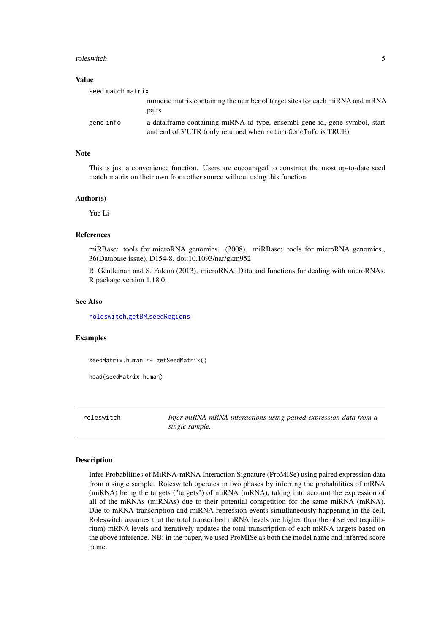#### <span id="page-4-0"></span>roleswitch 5

#### Value

| seed match matrix |                                                                                                                                              |
|-------------------|----------------------------------------------------------------------------------------------------------------------------------------------|
|                   | numeric matrix containing the number of target sites for each miRNA and mRNA<br>pairs                                                        |
| gene info         | a data frame containing miRNA id type, ensembl gene id, gene symbol, start<br>and end of 3'UTR (only returned when return Gene Info is TRUE) |

#### Note

This is just a convenience function. Users are encouraged to construct the most up-to-date seed match matrix on their own from other source without using this function.

#### Author(s)

Yue Li

#### References

miRBase: tools for microRNA genomics. (2008). miRBase: tools for microRNA genomics., 36(Database issue), D154-8. doi:10.1093/nar/gkm952

R. Gentleman and S. Falcon (2013). microRNA: Data and functions for dealing with microRNAs. R package version 1.18.0.

#### See Also

[roleswitch](#page-4-1),[getBM](#page-0-0),[seedRegions](#page-0-0)

#### Examples

seedMatrix.human <- getSeedMatrix()

head(seedMatrix.human)

<span id="page-4-1"></span>roleswitch *Infer miRNA-mRNA interactions using paired expression data from a single sample.*

#### Description

Infer Probabilities of MiRNA-mRNA Interaction Signature (ProMISe) using paired expression data from a single sample. Roleswitch operates in two phases by inferring the probabilities of mRNA (miRNA) being the targets ("targets") of miRNA (mRNA), taking into account the expression of all of the mRNAs (miRNAs) due to their potential competition for the same miRNA (mRNA). Due to mRNA transcription and miRNA repression events simultaneously happening in the cell, Roleswitch assumes that the total transcribed mRNA levels are higher than the observed (equilibrium) mRNA levels and iteratively updates the total transcription of each mRNA targets based on the above inference. NB: in the paper, we used ProMISe as both the model name and inferred score name.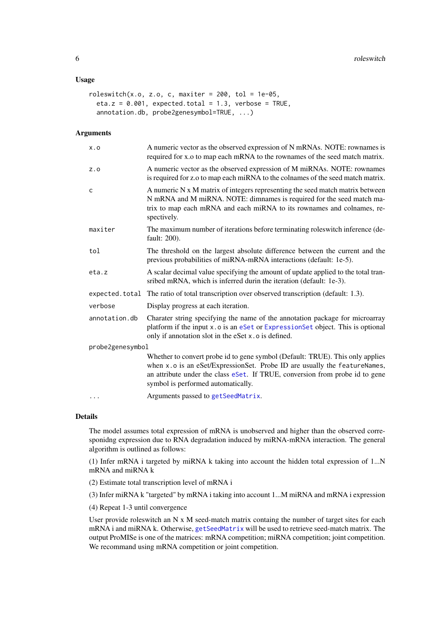#### <span id="page-5-0"></span>Usage

```
roleswitch(x.o, z.o, c, maxiter = 200, tol = 1e-05,
 eta.z = 0.001, expected.total = 1.3, verbose = TRUE,
 annotation.db, probe2genesymbol=TRUE, ...)
```
#### Arguments

| X.0              | A numeric vector as the observed expression of N mRNAs. NOTE: rownames is<br>required for x.o to map each mRNA to the rownames of the seed match matrix.                                                                                                                         |
|------------------|----------------------------------------------------------------------------------------------------------------------------------------------------------------------------------------------------------------------------------------------------------------------------------|
| Z.0              | A numeric vector as the observed expression of M miRNAs. NOTE: rownames<br>is required for z.o to map each miRNA to the colnames of the seed match matrix.                                                                                                                       |
| $\mathsf{C}$     | A numeric N x M matrix of integers representing the seed match matrix between<br>N mRNA and M miRNA. NOTE: dimnames is required for the seed match ma-<br>trix to map each mRNA and each miRNA to its rownames and colnames, re-<br>spectively.                                  |
| maxiter          | The maximum number of iterations before terminating roles witch inference (de-<br>fault: 200).                                                                                                                                                                                   |
| tol              | The threshold on the largest absolute difference between the current and the<br>previous probabilities of miRNA-mRNA interactions (default: 1e-5).                                                                                                                               |
| eta.z            | A scalar decimal value specifying the amount of update applied to the total tran-<br>sribed mRNA, which is inferred durin the iteration (default: 1e-3).                                                                                                                         |
|                  | expected.total The ratio of total transcription over observed transcription (default: 1.3).                                                                                                                                                                                      |
| verbose          | Display progress at each iteration.                                                                                                                                                                                                                                              |
| annotation.db    | Charater string specifying the name of the annotation package for microarray<br>platform if the input x.o is an eSet or ExpressionSet object. This is optional<br>only if annotation slot in the eSet x.o is defined.                                                            |
| probe2genesymbol |                                                                                                                                                                                                                                                                                  |
|                  | Whether to convert probe id to gene symbol (Default: TRUE). This only applies<br>when x.o is an eSet/ExpressionSet. Probe ID are usually the featureNames,<br>an attribute under the class eSet. If TRUE, conversion from probe id to gene<br>symbol is performed automatically. |
| $\cdots$         | Arguments passed to getSeedMatrix.                                                                                                                                                                                                                                               |

#### Details

The model assumes total expression of mRNA is unobserved and higher than the observed corresponidng expression due to RNA degradation induced by miRNA-mRNA interaction. The general algorithm is outlined as follows:

(1) Infer mRNA i targeted by miRNA k taking into account the hidden total expression of 1...N mRNA and miRNA k

(2) Estimate total transcription level of mRNA i

(3) Infer miRNA k "targeted" by mRNA i taking into account 1...M miRNA and mRNA i expression

(4) Repeat 1-3 until convergence

User provide roleswitch an  $N \times M$  seed-match matrix containg the number of target sites for each mRNA i and miRNA k. Otherwise, [getSeedMatrix](#page-3-1) will be used to retrieve seed-match matrix. The output ProMISe is one of the matrices: mRNA competition; miRNA competition; joint competition. We recommand using mRNA competition or joint competition.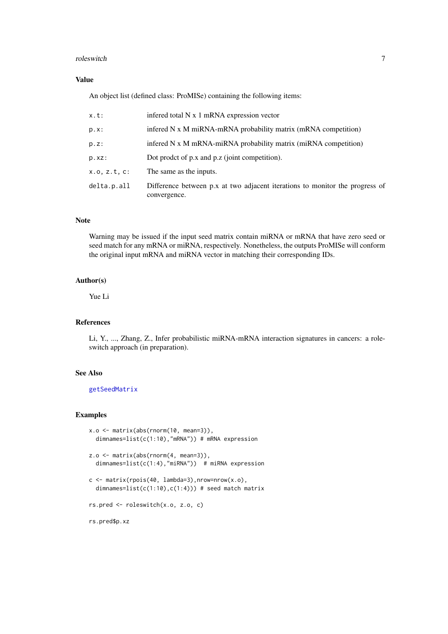#### <span id="page-6-0"></span>roleswitch **7**

#### Value

An object list (defined class: ProMISe) containing the following items:

| x.t:         | infered total N x 1 mRNA expression vector                                                   |
|--------------|----------------------------------------------------------------------------------------------|
| $p.x$ :      | infered N x M miRNA-mRNA probability matrix (mRNA competition)                               |
| p.z:         | inferred N x M mRNA-miRNA probability matrix (miRNA competition)                             |
| p.xz:        | Dot prodet of p.x and p.z (joint competition).                                               |
| x.o. z.t. c: | The same as the inputs.                                                                      |
| delta.p.all  | Difference between p.x at two adjacent iterations to monitor the progress of<br>convergence. |

#### Note

Warning may be issued if the input seed matrix contain miRNA or mRNA that have zero seed or seed match for any mRNA or miRNA, respectively. Nonetheless, the outputs ProMISe will conform the original input mRNA and miRNA vector in matching their corresponding IDs.

#### Author(s)

Yue Li

#### References

Li, Y., ..., Zhang, Z., Infer probabilistic miRNA-mRNA interaction signatures in cancers: a roleswitch approach (in preparation).

#### See Also

[getSeedMatrix](#page-3-1)

#### Examples

```
x.o <= matrix(abs(rnorm(10, mean=3)),
  dimnames=list(c(1:10),"mRNA")) # mRNA expression
z.o <- matrix(abs(rnorm(4, mean=3)),
  dimnames=list(c(1:4),"miRNA")) # miRNA expression
c \leq - matrix(rpois(40, lambda=3),nrow=nrow(x.o),
  dimnames=list(c(1:10),c(1:4))) # seed match matrix
rs.pred <- roleswitch(x.o, z.o, c)
rs.pred$p.xz
```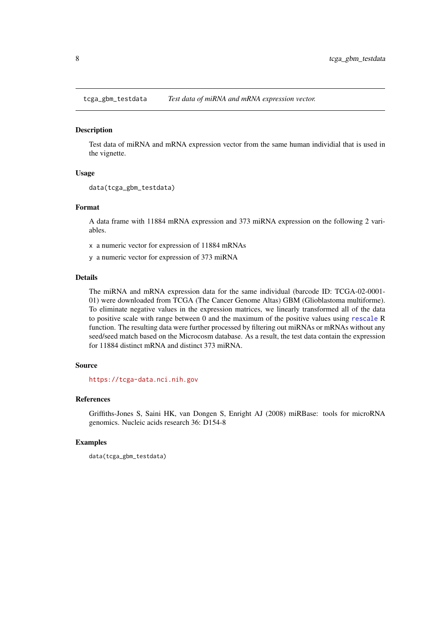<span id="page-7-0"></span>tcga\_gbm\_testdata *Test data of miRNA and mRNA expression vector.*

#### Description

Test data of miRNA and mRNA expression vector from the same human individial that is used in the vignette.

#### Usage

```
data(tcga_gbm_testdata)
```
#### Format

A data frame with 11884 mRNA expression and 373 miRNA expression on the following 2 variables.

x a numeric vector for expression of 11884 mRNAs

y a numeric vector for expression of 373 miRNA

#### Details

The miRNA and mRNA expression data for the same individual (barcode ID: TCGA-02-0001- 01) were downloaded from TCGA (The Cancer Genome Altas) GBM (Glioblastoma multiforme). To eliminate negative values in the expression matrices, we linearly transformed all of the data to positive scale with range between 0 and the maximum of the positive values using [rescale](#page-0-0) R function. The resulting data were further processed by filtering out miRNAs or mRNAs without any seed/seed match based on the Microcosm database. As a result, the test data contain the expression for 11884 distinct mRNA and distinct 373 miRNA.

#### Source

<https://tcga-data.nci.nih.gov>

#### References

Griffiths-Jones S, Saini HK, van Dongen S, Enright AJ (2008) miRBase: tools for microRNA genomics. Nucleic acids research 36: D154-8

#### Examples

```
data(tcga_gbm_testdata)
```